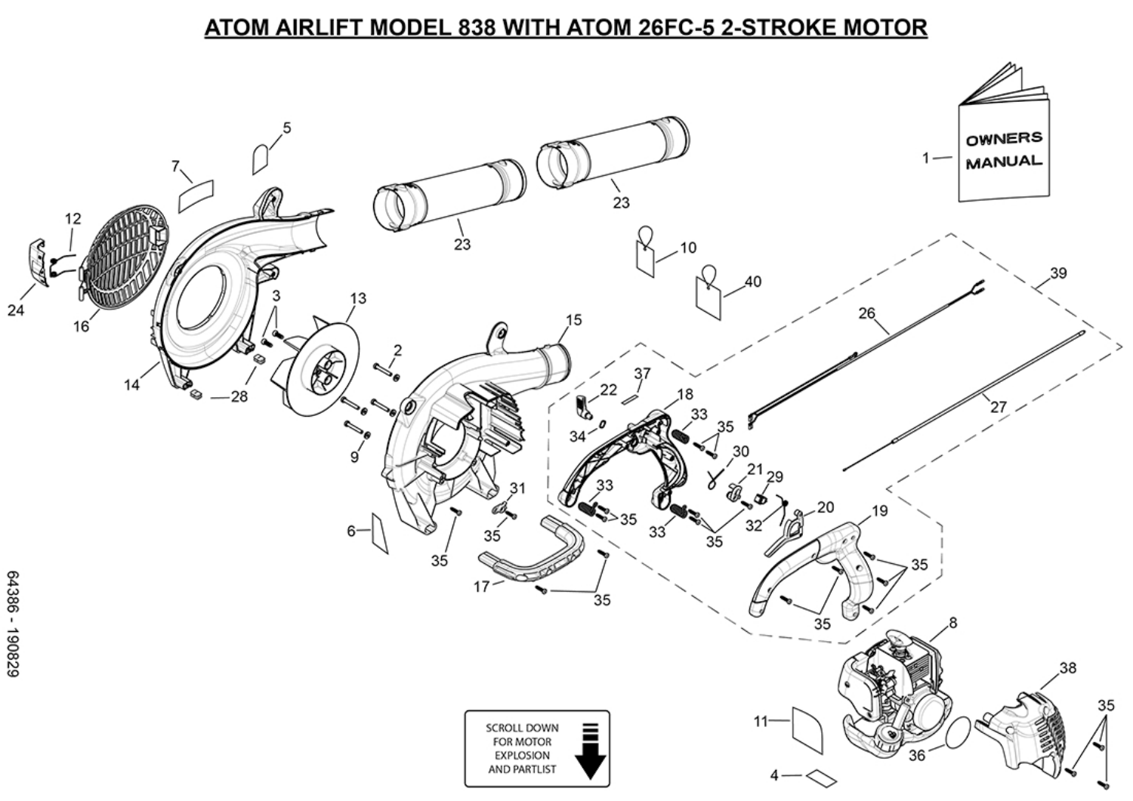## ATOM AIRLIFT MODEL 838 WITH ATOM 26FC-5 2-STROKE MOTOR